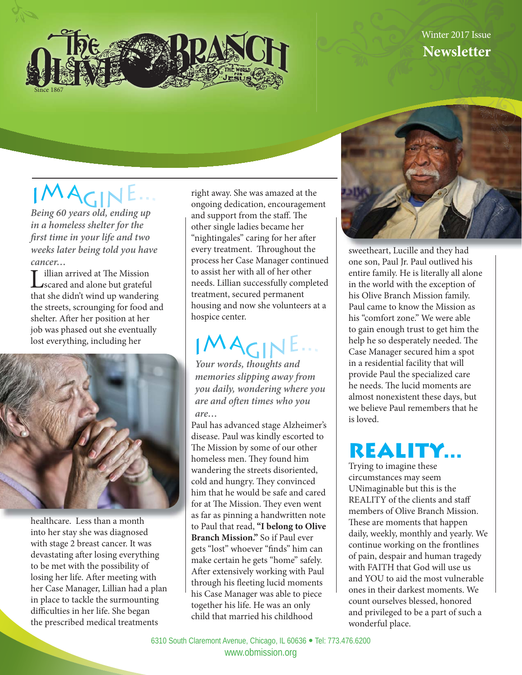

## Winter 2017 Issue **Newsletter**

## IMAGINE

*Being 60 years old, ending up in a homeless shelter for the fi rst time in your life and two weeks later being told you have cancer…* 

Lillian arrived at The Mission<br>
scared and alone but grateful<br>
the distribution of the distribution of the distribution of the distribution of the distribution of the distribution of the distribution of the distribution of that she didn't wind up wandering the streets, scrounging for food and shelter. After her position at her job was phased out she eventually lost everything, including her



healthcare. Less than a month into her stay she was diagnosed with stage 2 breast cancer. It was devastating after losing everything to be met with the possibility of losing her life. After meeting with her Case Manager, Lillian had a plan in place to tackle the surmounting difficulties in her life. She began the prescribed medical treatments

right away. She was amazed at the ongoing dedication, encouragement and support from the staff. The other single ladies became her "nightingales" caring for her after every treatment. Throughout the process her Case Manager continued to assist her with all of her other needs. Lillian successfully completed treatment, secured permanent housing and now she volunteers at a hospice center.

# IMAGIN

*Your words, thoughts and memories slipping away from you daily, wondering where you are and often times who you are…*

Paul has advanced stage Alzheimer's disease. Paul was kindly escorted to The Mission by some of our other homeless men. They found him wandering the streets disoriented, cold and hungry. They convinced him that he would be safe and cared for at The Mission. They even went as far as pinning a handwritten note to Paul that read, **"I belong to Olive Branch Mission."** So if Paul ever gets "lost" whoever "finds" him can make certain he gets "home" safely. After extensively working with Paul through his fleeting lucid moments his Case Manager was able to piece together his life. He was an only child that married his childhood



sweetheart, Lucille and they had one son, Paul Jr. Paul outlived his entire family. He is literally all alone in the world with the exception of his Olive Branch Mission family. Paul came to know the Mission as his "comfort zone." We were able to gain enough trust to get him the help he so desperately needed. The Case Manager secured him a spot in a residential facility that will provide Paul the specialized care he needs. The lucid moments are almost nonexistent these days, but we believe Paul remembers that he is loved.

## **REALITY...**

Trying to imagine these circumstances may seem UNimaginable but this is the REALITY of the clients and staff members of Olive Branch Mission. These are moments that happen daily, weekly, monthly and yearly. We continue working on the frontlines of pain, despair and human tragedy with FAITH that God will use us and YOU to aid the most vulnerable ones in their darkest moments. We count ourselves blessed, honored and privileged to be a part of such a wonderful place.